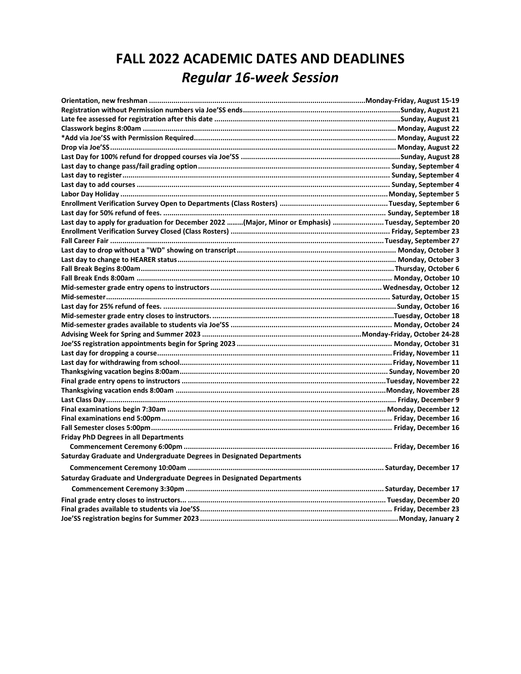## **FALL 2022 ACADEMIC DATES AND DEADLINES** *Regular 16-week Session*

| Last day to apply for graduation for December 2022 (Major, Minor or Emphasis) Tuesday, September 20 |  |
|-----------------------------------------------------------------------------------------------------|--|
|                                                                                                     |  |
|                                                                                                     |  |
|                                                                                                     |  |
|                                                                                                     |  |
|                                                                                                     |  |
|                                                                                                     |  |
|                                                                                                     |  |
|                                                                                                     |  |
|                                                                                                     |  |
|                                                                                                     |  |
|                                                                                                     |  |
|                                                                                                     |  |
|                                                                                                     |  |
|                                                                                                     |  |
|                                                                                                     |  |
|                                                                                                     |  |
|                                                                                                     |  |
|                                                                                                     |  |
|                                                                                                     |  |
|                                                                                                     |  |
|                                                                                                     |  |
|                                                                                                     |  |
| <b>Friday PhD Degrees in all Departments</b>                                                        |  |
|                                                                                                     |  |
| Saturday Graduate and Undergraduate Degrees in Designated Departments                               |  |
|                                                                                                     |  |
| Saturday Graduate and Undergraduate Degrees in Designated Departments                               |  |
|                                                                                                     |  |
|                                                                                                     |  |
|                                                                                                     |  |
|                                                                                                     |  |